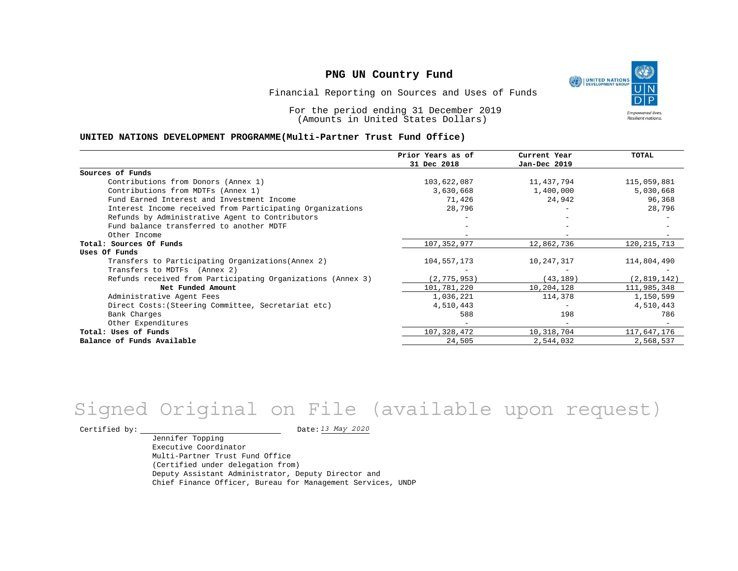UNITED NATIONS **Empowered lives Resilient nations.** 

Financial Reporting on Sources and Uses of Funds

For the period ending 31 December 2019 (Amounts in United States Dollars)

#### **UNITED NATIONS DEVELOPMENT PROGRAMME(Multi-Partner Trust Fund Office)**

|                                                             | Prior Years as of | Current Year | <b>TOTAL</b>  |
|-------------------------------------------------------------|-------------------|--------------|---------------|
|                                                             | 31 Dec 2018       | Jan-Dec 2019 |               |
| Sources of Funds                                            |                   |              |               |
| Contributions from Donors (Annex 1)                         | 103,622,087       | 11,437,794   | 115,059,881   |
| Contributions from MDTFs (Annex 1)                          | 3,630,668         | 1,400,000    | 5,030,668     |
| Fund Earned Interest and Investment Income                  | 71,426            | 24,942       | 96,368        |
| Interest Income received from Participating Organizations   | 28,796            |              | 28,796        |
| Refunds by Administrative Agent to Contributors             |                   |              |               |
| Fund balance transferred to another MDTF                    |                   |              |               |
| Other Income                                                |                   |              |               |
| Total: Sources Of Funds                                     | 107, 352, 977     | 12,862,736   | 120, 215, 713 |
| Uses Of Funds                                               |                   |              |               |
| Transfers to Participating Organizations (Annex 2)          | 104,557,173       | 10,247,317   | 114,804,490   |
| Transfers to MDTFs (Annex 2)                                |                   |              |               |
| Refunds received from Participating Organizations (Annex 3) | (2, 775, 953)     | (43, 189)    | (2,819,142)   |
| Net Funded Amount                                           | 101,781,220       | 10,204,128   | 111,985,348   |
| Administrative Agent Fees                                   | 1,036,221         | 114,378      | 1,150,599     |
| Direct Costs: (Steering Committee, Secretariat etc)         | 4,510,443         |              | 4,510,443     |
| Bank Charges                                                | 588               | 198          | 786           |
| Other Expenditures                                          |                   |              |               |
| Total: Uses of Funds                                        | 107,328,472       | 10,318,704   | 117,647,176   |
| Balance of Funds Available                                  | 24,505            | 2,544,032    | 2,568,537     |

# *13 May 2020* Signed Original on File (available upon request)

Certified by:  $\frac{13 May 2020}{120}$ 

Jennifer Topping Executive Coordinator Multi-Partner Trust Fund Office (Certified under delegation from) Deputy Assistant Administrator, Deputy Director and Chief Finance Officer, Bureau for Management Services, UNDP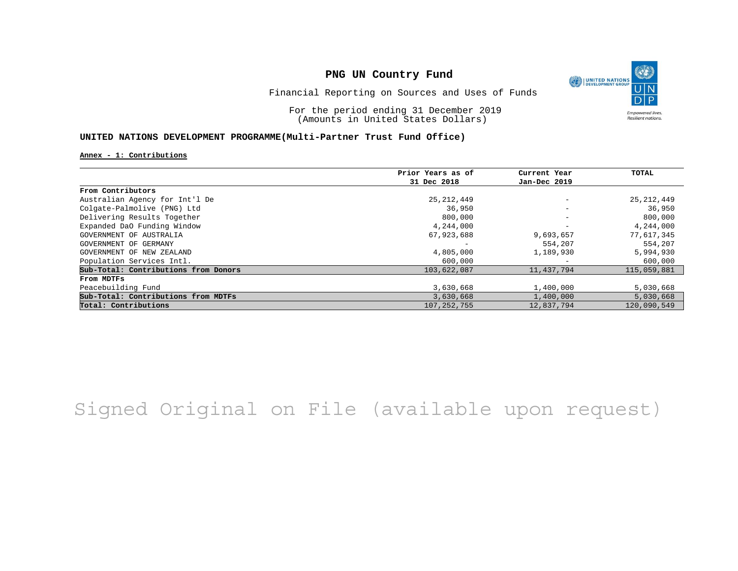O UNITED NATIONS **Empowered lives** Resilient nations.

Financial Reporting on Sources and Uses of Funds

For the period ending 31 December 2019 (Amounts in United States Dollars)

### **UNITED NATIONS DEVELOPMENT PROGRAMME(Multi-Partner Trust Fund Office)**

**Annex - 1: Contributions**

|                                      | Prior Years as of | Current Year      | TOTAL        |
|--------------------------------------|-------------------|-------------------|--------------|
|                                      | 31 Dec 2018       | Jan-Dec 2019      |              |
| From Contributors                    |                   |                   |              |
| Australian Agency for Int'l De       | 25, 212, 449      | $\qquad \qquad -$ | 25, 212, 449 |
| Colgate-Palmolive (PNG) Ltd          | 36,950            | $\qquad \qquad -$ | 36,950       |
| Delivering Results Together          | 800,000           | $\qquad \qquad -$ | 800,000      |
| Expanded DaO Funding Window          | 4,244,000         |                   | 4,244,000    |
| GOVERNMENT OF AUSTRALIA              | 67,923,688        | 9,693,657         | 77,617,345   |
| GOVERNMENT OF GERMANY                |                   | 554,207           | 554,207      |
| GOVERNMENT OF NEW ZEALAND            | 4,805,000         | 1,189,930         | 5,994,930    |
| Population Services Intl.            | 600,000           |                   | 600,000      |
| Sub-Total: Contributions from Donors | 103,622,087       | 11,437,794        | 115,059,881  |
| From MDTFs                           |                   |                   |              |
| Peacebuilding Fund                   | 3,630,668         | 1,400,000         | 5,030,668    |
| Sub-Total: Contributions from MDTFs  | 3,630,668         | 1,400,000         | 5,030,668    |
| Total: Contributions                 | 107, 252, 755     | 12,837,794        | 120,090,549  |

## Signed Original on File (available upon request)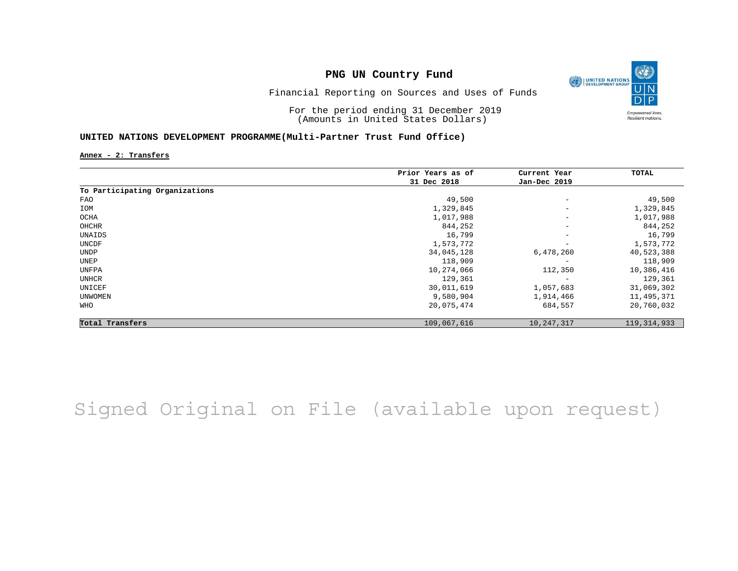

Financial Reporting on Sources and Uses of Funds

For the period ending 31 December 2019 (Amounts in United States Dollars)

#### **UNITED NATIONS DEVELOPMENT PROGRAMME(Multi-Partner Trust Fund Office)**

**Annex - 2: Transfers**

|                                | Prior Years as of | Current Year             | TOTAL         |
|--------------------------------|-------------------|--------------------------|---------------|
|                                | 31 Dec 2018       | Jan-Dec 2019             |               |
| To Participating Organizations |                   |                          |               |
| FAO                            | 49,500            | $\overline{\phantom{a}}$ | 49,500        |
| IOM                            | 1,329,845         | $\overline{\phantom{m}}$ | 1,329,845     |
| OCHA                           | 1,017,988         | $\overline{\phantom{m}}$ | 1,017,988     |
| OHCHR                          | 844,252           | $\overline{\phantom{m}}$ | 844,252       |
| UNAIDS                         | 16,799            | $\overline{\phantom{m}}$ | 16,799        |
| UNCDF                          | 1,573,772         | $\overline{\phantom{m}}$ | 1,573,772     |
| <b>UNDP</b>                    | 34,045,128        | 6,478,260                | 40,523,388    |
| UNEP                           | 118,909           | $\qquad \qquad -$        | 118,909       |
| UNFPA                          | 10,274,066        | 112,350                  | 10,386,416    |
| UNHCR                          | 129,361           |                          | 129,361       |
| UNICEF                         | 30,011,619        | 1,057,683                | 31,069,302    |
| UNWOMEN                        | 9,580,904         | 1,914,466                | 11,495,371    |
| WHO                            | 20,075,474        | 684,557                  | 20,760,032    |
| Total Transfers                | 109,067,616       | 10,247,317               | 119, 314, 933 |

Signed Original on File (available upon request)